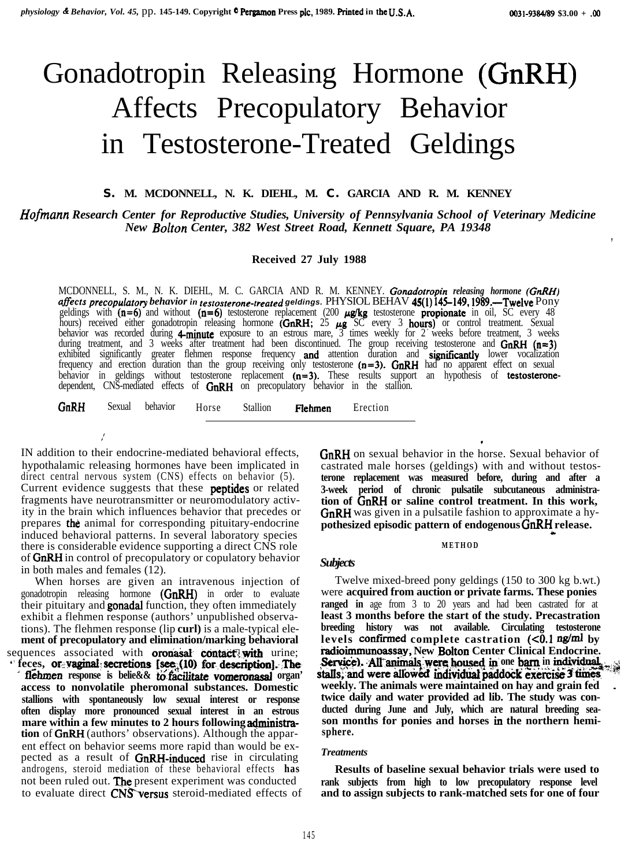*,*

# Gonadotropin Releasing Hormone (GnRH) Affects Precopulatory Behavior in Testosterone-Treated Geldings

## **S. M. MCDONNELL, N. K. DIEHL, M. C. GARCIA AND R. M. KENNEY**

*Hofinann Research Center for Reproductive Studies, University of Pennsylvania School of Veterinary Medicine New Bolton Center, 382 West Street Road, Kennett Square, PA 19348*

**Received 27 July 1988**

MCDONNELL, S. M., N. K. DIEHL, M. C. GARCIA AND R. M. KENNEY. Gonadotropin releasing hormone (GnRH) *a&~ts* precopulutory *behavior in testosterone-trented geldings.* PHYSIOL BEHAV 45(l) 145-149. 1989.-Twelve Pony geldings with  $(n=6)$  and without  $(n=6)$  testosterone replacement (200  $\mu g / kg$  testosterone propionate in oil, SC every 48 hours) received either gonadotropin releasing hormone (GnRH; 25  $\mu$ g SC every 3 hours) or control treatment. Sexual behavior was recorded during  $4$ minute exposure to an estrous mare, 3 times weekly for 2 weeks before treatment, 3 weeks during treatment, and 3 weeks after treatment had been discontinued. The group receiving testosterone and **GnRH** ( $n=3$ ) exhibited significantly greater flehmen response frequency **and** attention duration and **significantly** lower vocalization frequency and erection duration than the group receiving only testosterone  $(n=3)$ . GnRH had no apparent effect on sexual behavior in geldings without testosterone replacement  $(n=3)$ . These results support an hypothesis of testosteron dependent, CNS-mediated effects of  $GnRH$  on precopulatory behavior in the stallion.

GnRH Sexual behavior Horse Stallion Flehmen Erection

IN addition to their endocrine-mediated behavioral effects, hypothalamic releasing hormones have been implicated in direct central nervous system (CNS) effects on behavior (5). Current evidence suggests that these **peptides** or related fragments have neurotransmitter or neuromodulatory activity in the brain which influences behavior that precedes or prepares the animal for corresponding pituitary-endocrine induced behavioral patterns. In several laboratory species there is considerable evidence supporting a direct CNS role of **GnRH** in control of precopulatory or copulatory behavior in both males and females (12).

,'

When horses are given an intravenous injection of gonadotropin releasing hormone  $(GnRH)$  in order to evaluate their pituitary and **gonadal** function, they often immediately exhibit a flehmen response (authors' unpublished observations). The flehmen response (lip **curl)** is a male-typical ele**ment of precopulatory and elimination/marking behavioral** sequences associated with **oronasal contact with** urine;

**I** feces, or vaginal secretions [see (10) for description]. **fIehmen** response is belie&& **to facilitate vomeronasal** organ' **access to nonvolatile pheromonal substances. Domestic stallions with spontaneously low sexual interest or response often display more pronounced sexual interest in an estrous** mare within a few minutes to 2 hours following administra**tion** of GnRH (authors' observations). Although the apparent effect on behavior seems more rapid than would be expected as a result of  $GnRH$ -induced rise in circulating androgens, steroid mediation of these behavioral effects **has** not been ruled out. The present experiment was conducted to evaluate direct CNS versus steroid-mediated effects of **GnRH** on sexual behavior in the horse. Sexual behavior of castrated male horses (geldings) with and without testos**terone replacement was measured before, during and after a 3-week period of chronic pulsatile subcutaneous administration of GnRH or saline control treatment. In this work,** GnRH was given in a pulsatile fashion to approximate a hy**pothesized episodic pattern of endogenous GnRH release. <sup>c</sup>**

.

#### **METHOD**

## *Subjects*

Twelve mixed-breed pony geldings (150 to 300 kg b.wt.) were **acquired from auction or private farms. These ponies ranged in** age from 3 to 20 years and had been castrated for at **least 3 months before the start of the study. Precastration breeding history was not available. Circulating testosterone** levels confirmed complete castration (<0.1 ng/ml by **iadioimmunoassay, New Bolton Center Clinical Endocrine. .Service).** All animals were housed in one barn in individual stalls, and were allowed individual paddock exercise 3 times. **weekly. The animals were maintained on hay and grain fed \_ twice daily and water provided ad lib. The study was conducted during June and July, which are natural breeding season months for ponies and horses in the northern hemisphere.**

#### *Treatments*

**Results of baseline sexual behavior trials were used to rank subjects from high to low precopulatory response level and to assign subjects to rank-matched sets for one of four**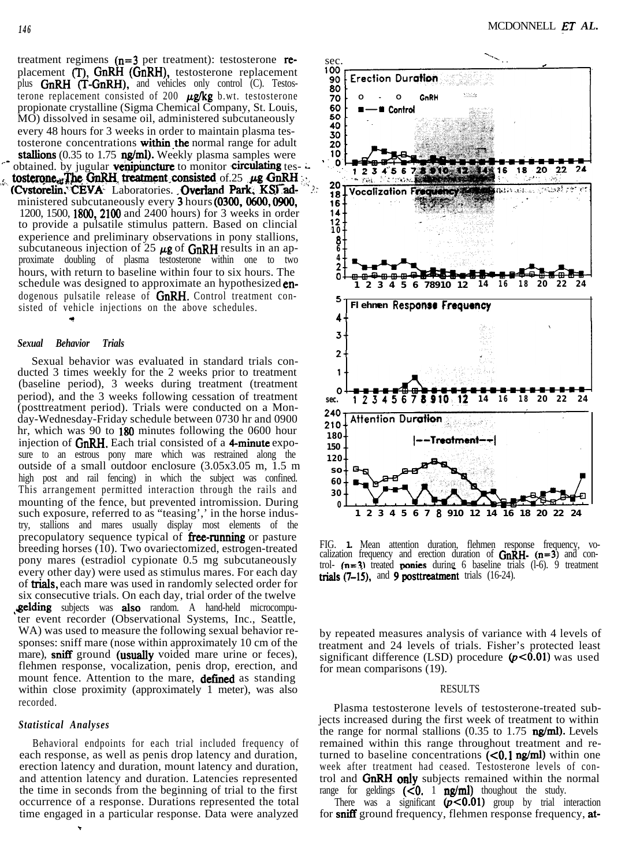treatment regimens  $(n=3 \text{ per treatment})$ : testosterone re-<br>placement  $(T)$  GpPH (GpPH) testosterone replacement 100 placement  $(T)$ , GnRH (GnRH), testosterone replacement plus **GnRH (T-GnRH)**, and vehicles only control (C). Testosplus GnRH  $(T-GnRH)$ , and vehicles only control (C). Testos-<br>terone replacement consisted of 200  $\mu g/kg$  b.wt. testosterone **70** 0 - 0 GnRH propionate crystalline (Sigma Chemical Company, St. Louis,  $\bullet$  60  $\bullet$  =  $\bullet$  Control<br>MO) dissolved in sesame oil administered subcutaneously  $\bullet$  50 MO) dissolved in sesame oil, administered subcutaneously every 48 hours for 3 weeks in order to maintain plasma testosterone concentrations within the normal range for adult stallions (0.35 to 1.75 ng/ml). Weekly plasma samples were obtained. by jugular **venipuncture** to monitor **circulating** testosterone<sub>of</sub> The GnRH. treatment consisted of.25  $\mu$ g GnRH Westerbite<sub>nt</sub> The United Treatment Consisted 01.25 The United States 20<br>(Cystorelin, CEVA Laboratories. Overland Park, KSI ad- ... . . . . . 18 ministered subcutaneously every 3 hours (0300, 0600, 0900 1200, 1500, **1800, 2100** and 2400 hours) for 3 weeks in order to provide a pulsatile stimulus pattern. Based on clincial experience and preliminary observations in pony stallions, subcutaneous injection of 25  $\mu$ g of GnRH results in an approximate doubling of plasma testosterone within one to two hours, with return to baseline within four to six hours. The schedule was designed to approximate an hypothesized endogenous pulsatile release of  $GnRH$ . Control treatment consisted of vehicle injections on the above schedules.

#### *Sexual Behavior Trials*

Sexual behavior was evaluated in standard trials conducted 3 times weekly for the 2 weeks prior to treatment (baseline period), 3 weeks during treatment (treatment period), and the 3 weeks following cessation of treatment (posttreatment period). Trials were conducted on a Monday-Wednesday-Friday schedule between 0730 hr and 0900 hr, which was 90 to 180 minutes following the 0600 hour injection of  $GnRH$ . Each trial consisted of a 4-minute exposure to an estrous pony mare which was restrained along the outside of a small outdoor enclosure (3.05x3.05 m, 1.5 m high post and rail fencing) in which the subject was confined. This arrangement permitted interaction through the rails and mounting of the fence, but prevented intromission. During such exposure, referred to as "teasing',' in the horse industry, stallions and mares usually display most elements of the precopulatory sequence typical of **free-running** or pasture breeding horses (10). Two ovariectomized, estrogen-treated pony mares (estradiol cypionate 0.5 mg subcutaneously every other day) were used as stimulus mares. For each day of **trials**, each mare was used in randomly selected order for six consecutive trials. On each day, trial order of the twelve gelding subjects was also random. A hand-held microcomputer event recorder (Observational Systems, Inc., Seattle, WA) was used to measure the following sexual behavior responses: sniff mare (nose within approximately 10 cm of the mare), sniff ground (usually voided mare urine or feces), flehmen response, vocalization, penis drop, erection, and mount fence. Attention to the mare, **defined** as standing within close proximity (approximately 1 meter), was also recorded.

#### *Statistical Analyses*

r.

Behavioral endpoints for each trial included frequency of each response, as well as penis drop latency and duration, erection latency and duration, mount latency and duration, and attention latency and duration. Latencies represented the time in seconds from the beginning of trial to the first occurrence of a response. Durations represented the total time engaged in a particular response. Data were analyzed



FIG. **1.** Mean attention duration, flehmen response frequency, vocalization frequency and erection duration of  $Gn\dot{R}H- (n=3)$  and control-  $(n=3)$  treated **ponies** during 6 baseline trials  $(1-6)$ . 9 treatment trials  $(7-15)$ , and 9 posttreatment trials  $(16-24)$ .

by repeated measures analysis of variance with 4 levels of treatment and 24 levels of trials. Fisher's protected least significant difference (LSD) procedure  $(p<0.01)$  was used for mean comparisons (19).

## RESULTS

Plasma testosterone levels of testosterone-treated subjects increased during the first week of treatment to within the range for normal stallions  $(0.35 \text{ to } 1.75 \text{ ng/ml})$ . Levels remained within this range throughout treatment and returned to baseline concentrations  $\overline{(-0.1 \text{ ng/ml})}$  within one week after treatment had ceased. Testosterone levels of control and **GnRH only** subjects remained within the normal range for geldings  $(**0**$ . 1 **ng/ml**) thoughout the study.

There was a significant  $(p<0.01)$  group by trial interaction for **sniff** ground frequency, flehmen response frequency, at-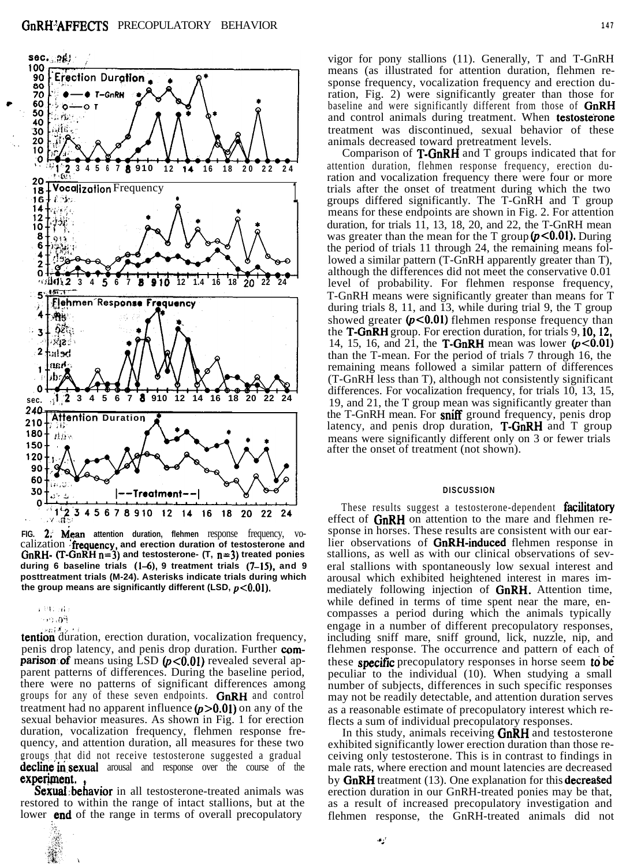

FIG. 2. Mean attention duration, flehmen response frequency, vocalization frequency, and erection duration of testosterone and GnRH-  $(T\text{-}GnRH n=3)$  and testosterone-  $(T, n=3)$  treated ponies during 6 baseline trials  $(1-6)$ , 9 treatment trials  $(7-15)$ , and 9 posttreatment trials (M-24). Asterisks indicate trials during which the group means are significantly different (LSD,  $p < 0.01$ ).

r (90 m)

ាច ភេមិ

tention duration, erection duration, vocalization frequency,

penis drop latency, and penis drop duration. Further com**parison of** means using LSD  $(p<0.01)$  revealed several apparent patterns of differences. During the baseline period, there were no patterns of significant differences among groups for any of these seven endpoints. GnRH and control treatment had no apparent influence  $(p>0.01)$  on any of the sexual behavior measures. As shown in Fig. 1 for erection duration, vocalization frequency, flehmen response frequency, and attention duration, all measures for these two groups that did not receive testosterone suggested a gradual **decline** in sexual arousal and response over the course of the experiment.

**Sexual behavior** in all testosterone-treated animals was restored to within the range of intact stallions, but at the lower **end** of the range in terms of overall precopulatory

vigor for pony stallions (11). Generally, T and T-GnRH means (as illustrated for attention duration, flehmen response frequency, vocalization frequency and erection duration, Fig. 2) were significantly greater than those for baseline and were significantly different from those of **GnRH** and control animals during treatment. When testosterone treatment was discontinued, sexual behavior of these animals decreased toward pretreatment levels.

Comparison of **T-GnRH** and T groups indicated that for attention duration, flehmen response frequency, erection duration and vocalization frequency there were four or more trials after the onset of treatment during which the two groups differed significantly. The T-GnRH and T group means for these endpoints are shown in Fig. 2. For attention duration, for trials  $11, 13, 18, 20,$  and  $22$ , the T-GnRH mean was greater than the mean for the T group  $(p<0.01)$ . During the period of trials 11 through 24, the remaining means followed a similar pattern (T-GnRH apparently greater than T), although the differences did not meet the conservative 0.01 level of probability. For flehmen response frequency, T-GnRH means were significantly greater than means for T during trials  $8$ , 11, and 13, while during trial  $9$ , the T group showed greater  $(p<0.01)$  flehmen response frequency than the **T-GnRH** group. For erection duration, for trials 9, 10, 12, 14, 15, 16, and 21, the **T-GnRH** mean was lower  $(p<0.01)$ than the T-mean. For the period of trials 7 through 16, the remaining means followed a similar pattern of differences (T-GnRH less than T), although not consistently significant differences. For vocalization frequency, for trials 10, 13, 15, 19, and 21, the T group mean was significantly greater than the T-GnRH mean. For **sniff** ground frequency, penis drop latency, and penis drop duration, T-GnRH and T group means were significantly different only on 3 or fewer trials after the onset of treatment (not shown).

#### **DISCUSSION**

These results suggest a testosterone-dependent facilitatory effect of GnRH on attention to the mare and flehmen response in horses. These results are consistent with our earlier observations of **GnRH-induced** flehmen response in stallions, as well as with our clinical observations of several stallions with spontaneously low sexual interest and arousal which exhibited heightened interest in mares immediately following injection of GnRH. Attention time, while defined in terms of time spent near the mare, encompasses a period during which the animals typically engage in a number of different precopulatory responses, including sniff mare, sniff ground, lick, nuzzle, nip, and flehmen response. The occurrence and pattern of each of these **specific** precopulatory responses in horse seem to be peculiar to the individual (10). When studying a small number of subjects, differences in such specific responses may not be readily detectable, and attention duration serves as a reasonable estimate of precopulatory interest which reflects a sum of individual precopulatory responses.

In this study, animals receiving **GnRH** and testosterone exhibited significantly lower erection duration than those receiving only testosterone. This is in contrast to findings in male rats, where erection and mount latencies are decreased by GnRH treatment (13). One explanation for this decreased erection duration in our GnRH-treated ponies may be that, as a result of increased precopulatory investigation and flehmen response, the GnRH-treated animals did not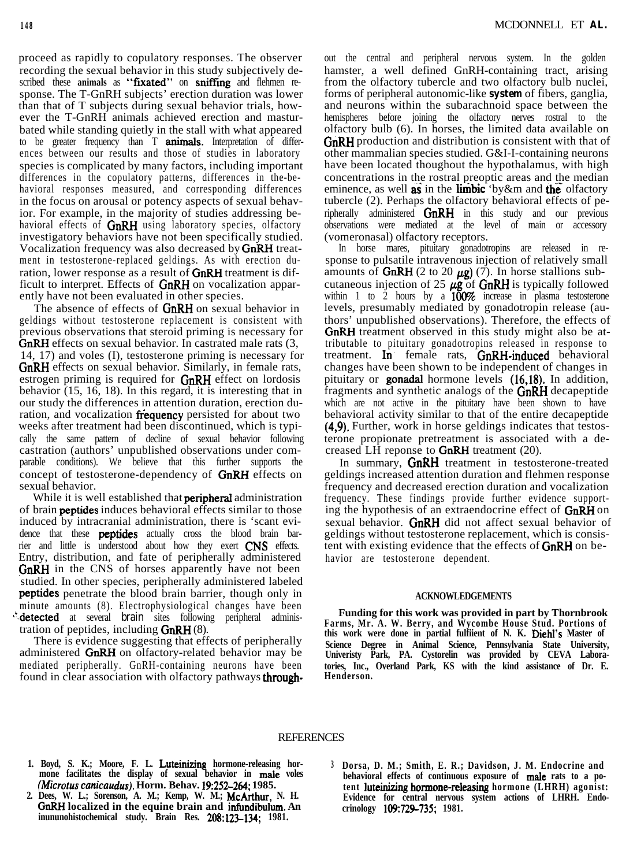proceed as rapidly to copulatory responses. The observer recording the sexual behavior in this study subjectively described these animals as "fixated" on sniffing and flehmen response. The T-GnRH subjects' erection duration was lower than that of T subjects during sexual behavior trials, however the T-GnRH animals achieved erection and masturbated while standing quietly in the stall with what appeared to be greater frequency than T **animals**. Interpretation of differences between our results and those of studies in laboratory species is complicated by many factors, including important differences in the copulatory patterns, differences in the-behavioral responses measured, and corresponding differences in the focus on arousal or potency aspects of sexual behavior. For example, in the majority of studies addressing behavioral effects of **GnRH** using laboratory species, olfactory investigatory behaviors have not been specifically studied. Vocalization frequency was also decreased by GnRH treatment in testosterone-replaced geldings. As with erection duration, lower response as a result of GnRH treatment is difficult to interpret. Effects of GnRH on vocalization apparently have not been evaluated in other species.

The absence of effects of **GnRH** on sexual behavior in geldings without testosterone replacement is consistent with previous observations that steroid priming is necessary for GnRH effects on sexual behavior. In castrated male rats (3, 14, 17) and voles (I), testosterone priming is necessary for GnRH effects on sexual behavior. Similarly, in female rats, estrogen priming is required for **GnRH** effect on lordosis behavior (15, 16, 18). In this regard, it is interesting that in our study the differences in attention duration, erection duration, and vocalization **frequency** persisted for about two weeks after treatment had been discontinued, which is typically the same pattern of decline of sexual behavior following castration (authors' unpublished observations under comparable conditions). We believe that this further supports the concept of testosterone-dependency of GnRH effects on sexual behavior.

While it is well established that **peripheral** administration of brain peptides induces behavioral effects similar to those induced by intracranial administration, there is 'scant evidence that these **peptides** actually cross the blood brain barrier and little is understood about how they exert CNS effects. Entry, distribution, and fate of peripherally administered GnRH in the CNS of horses apparently have not been studied. In other species, peripherally administered labeled peptides penetrate the blood brain barrier, though only in minute amounts (8). Electrophysiological changes have been detected at several brain sites following peripheral administration of peptides, including GnRH (8).

There is evidence suggesting that effects of peripherally administered GnRH on olfactory-related behavior may be mediated peripherally. GnRH-containing neurons have been found in clear association with olfactory pathways through-

out the central and peripheral nervous system. In the golden hamster, a well defined GnRH-containing tract, arising from the olfactory tubercle and two olfactory bulb nuclei, forms of peripheral autonomic-like *system* of fibers, ganglia, and neurons within the subarachnoid space between the hemispheres before joining the olfactory nerves rostral to the olfactory bulb (6). In horses, the limited data available on GnRH production and distribution is consistent with that of other mammalian species studied. G&I-I-containing neurons have been located thoughout the hypothalamus, with high concentrations in the rostral preoptic areas and the median eminence, as well **as** in the **limbic** 'by&m and **the** olfactory tubercle (2). Perhaps the olfactory behavioral effects of peripherally administered GnRH in this study and our previous observations were mediated at the level of main or accessory (vomeronasal) olfactory receptors.

In horse mares, pituitary gonadotropins are released in response to pulsatile intravenous injection of relatively small amounts of GnRH (2 to 20  $\mu$ g) (7). In horse stallions subcutaneous injection of 25  $\mu$ g of GnRH is typically followed within 1 to 2 hours by a 100% increase in plasma testosterone levels, presumably mediated by gonadotropin release (authors' unpublished observations). Therefore, the effects of **GnRH** treatment observed in this study might also be attributable to pituitary gonadotropins released in response to treatment. In female rats, GnRH-induced behavioral changes have been shown to be independent of changes in pituitary or gonadal hormone levels (16,18). In addition, fragments and synthetic analogs of the GnRH decapeptide which are not active in the pituitary have been shown to have behavioral activity similar to that of the entire decapeptide (4,9). Further, work in horse geldings indicates that testosterone propionate pretreatment is associated with a decreased LH reponse to **GnRH** treatment (20).

In summary, **GnRH** treatment in testosterone-treated geldings increased attention duration and flehmen response frequency and decreased erection duration and vocalization frequency. These findings provide further evidence supporting the hypothesis of an extraendocrine effect of GnRH on sexual behavior. GnRH did not affect sexual behavior of geldings without testosterone replacement, which is consistent with existing evidence that the effects of **GnRH** on behavior are testosterone dependent.

#### **ACKNOWLEDGEMENTS**

**Funding for this work was provided in part by Thornbrook Farms, Mr. A. W. Berry, and Wycombe House Stud. Portions of this work were done in partial fulfiient of N. K. Diehl's Master of Science Degree in Animal Science, Pennsylvania State University, Univeristy Park, PA. Cystorelin was provided by CEVA Laboratories, Inc., Overland Park, KS with the kind assistance of Dr. E. Henderson.**

### REFERENCES

- **1. Boyd, S. K.; Moore, F. L. Luteinizing hormone-releasing hormone facilitates the display of sexual behavior in male voles** *(Microtus canicaudus).* Horm. Behav. 19:252-264; 1985.
- **2. Dees, W. L.; Sorenson, A. M.; Kemp, W. M.; McArthur, N. H. GnRH localized in the equine brain and infundibuhun. An inununohistochemical study. Brain Res. 208:123-134; 1981.**
- **3 Dorsa, D. M.; Smith, E. R.; Davidson, J. M. Endocrine and behavioral effects of continuous exposure of male rats to a potent luteinizing hormone-releasing** hormone (LHRH) agonist: **Evidence for central nervous system actions of LHRH. Endocrinology 109:729-735; 1981.**